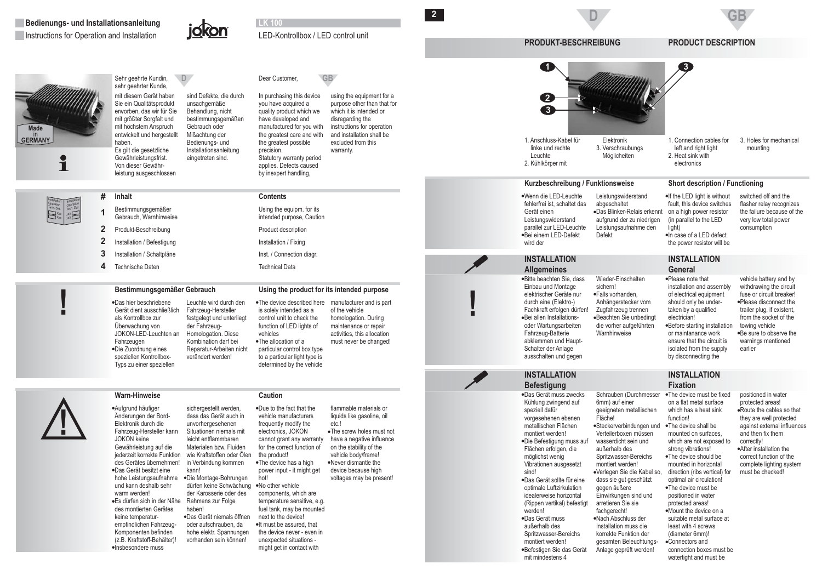

**Inhalt#**

Bestimmungsgemäßer Gebrauch, Warnhinweise Produkt-Beschreibung Installation / Befestigung Installation / Schaltpläne Technische Daten

Das hier beschriebene

Gerät dient ausschließlichals Kontrollbox zur Überwachung von JOKON-LED-Leuchten an

Die Zuordnung eines

**Warn-Hinweise**

speziellen Kontrollbox-Typs zu einer speziellen

Fahrzeugen

leistung ausgeschlossen



**Made**in<br>**GERMANY** 

Ť

InstallationOperationTech. Dat.XxxXxx Installation Operation Tech. Dat. XxxXxx

Sehr geehrte Kundin, sehr geehrter Kunde, mit diesem Gerät haben Sie ein Qualitätsprodukt erworben, das wir für Sie mit größter Sorgfalt und mit höchstem Anspruch entwickelt und hergestellt haben. Es gilt die gesetzliche Gewährleistungsfrist. Von dieser Gewähr-

**D**sind Defekte, die durch unsachgemäße Behandlung, nicht bestimmungsgemäßen Gebrauch oder Mißachtung der Bedienungs- und **Installationsanleitung** eingetreten sind.

## D<sub>ear</sub> Customer, GB

LED-Kontrollbox / LED control unit

precision.

**LK 100**

**Contents**

Using the equipm. for its intended purpose, Caution Product description Installation / Fixing Inst. / Connection diagr. Technical Data

The allocation of a

particular control box type to <sup>a</sup> particular light type is determined by the vehicle

vehicles

is solely intended as <sup>a</sup> control unit to check thefunction of LED lights of

•The device described here manufacturer and is part

of the vehicle homologation. During maintenance or repair activities, this allocation must never be changed!

In purchasing this device you have acquired <sup>a</sup> quality product which we have developed and manufactured for you with the greatest care and with the greatest possible Statutory warranty period applies. Defects caused by inexpert handling, using the equipment for <sup>a</sup> purpose other than that for which it is intended ordisregarding the instructions for operation and installation shall beexcluded from thiswarranty.

**2**

**PRODUKT-BESCHREIBUNG PRODUCT DESCRIPTION**

**D**



3. Holes for mechanical mounting

 Wenn die LED-Leuchte Bei einem LED-Defekt fehlerfrei ist, schaltet das Gerät einen Leistungswiderstand parallel zur LED-Leuchte wird der

 Das Blinker-Relais erkennt abgeschaltet aufgrund der zu niedrigen Leistungsaufnahme den Defekt

 $\bullet$ In case of a LED defect fault, this device switches on <sup>a</sup> high power resistor (in parallel to the LED light) the power resistor will be

**INSTALLATION**

**GB**

switched off and the flasher relay recognizes the failure because of thevery low total power consumption

# **INSTALLATIONAllgemeines** Bitte beachten Sie, dass

 Bei allen Installations-Einbau und Montage elektrischer Geräte nurdurch eine (Elektro-) Fachkraft erfolgen dürfen! oder Wartungsarbeiten Fahrzeug-Batterie abklemmen und Haupt-Schalter der Anlage ausschalten und gegen sichern!

 Falls vorhanden, Beachten Sie unbedingt Wieder-EinschaltenAnhängerstecker vom Zugfahrzeug trennen die vorher aufgeführten Warnhinweise

**General**Please note that installation and assembly of electrical equipment should only be undertaken by <sup>a</sup> qualified electrician!Before starting installation or maintanance work ensure that the circuit isisolated from the supply by disconnecting the

vehicle battery and by withdrawing the circuit fuse or circuit breaker! Please disconnect the trailer plug, if existent, from the socket of thetowing vehicle Be sure to observe the warnings mentioned earlier



**!**

 Aufgrund häufiger Das Gerät besitzt eine Es dürfen sich in der Nähe Insbesondere mussÄnderungen der Bord-Elektronik durch dieFahrzeug-Hersteller kann JOKON keineGewährleistung auf die jederzeit korrekte Funktion des Gerätes übernehmen! hohe Leistungsaufnahme und kann deshalb sehrwarm werden! des montierten Geräteskeine temperaturempfindlichen Fahrzeug-Komponenten befinden (z.B. Kraftstoff-Behälter)! kann!haben!

## **Caution**

**Bestimmungsgemäßer Gebrauch Using the product for its intended purpose**

Leuchte wird durch denFahrzeug-Hersteller festgelegt und unterliegt der Fahrzeug-Homologation. Diese Kombination darf bei Reparatur-Arbeiten nicht verändert werden!

 Die Montage-Bohrungen Das Gerät niemals öffnensichergestellt werden. dass das Gerät auch inunvorhergesehenen Situationen niemals mit leicht entflammbaren Materialen bzw. Fluiden wie Kraftstoffen oder Ölenin Verbindung kommen dürfen keine Schwächung der Karosserie oder desRahmens zur Folge oder aufschrauben, da hohe elektr. Spannungen vorhanden sein können! Due to the fact that the The device has <sup>a</sup> high No other vehiclevehicle manufacturersfrequently modify the electronics, JOKON cannot grant any warranty for the correct function of the product! power input - it might get hot!

 The screw holes must not Never dismantle theflammable materials or liquids like gasoline, oil etc.!have a negative influence on the stability of the vehicle body/frame! device because high voltages may be present!

•It must be assured, that components, which are temperature sensitive, e.g. fuel tank, may be mounted next to the device! the device never - even inunexpected situations might get in contact with

**!**

 Die Befestigung muss auf Das Gerät sollte für eine Das Gerät muss Befestigen Sie das Gerät vorgesehenen ebenen metallischen Flächenmontiert werden! Flächen erfolgen, die möglichst wenig Vibrationen ausgesetzt sind!optimale Luftzirkulation idealerweise horizontal (Rippen vertikal) befestigt werden!außerhalb desSpritzwasser-Bereichs montiert werden! mit mindestens 4

**INSTALLATIONBefestigung**

Das Gerät muss zwecks

Kühlung zwingend auf speziell dafür

**INSTALLATIONFixation** Steckerverbindungen und Verlegen Sie die Kabel so, Nach Abschluss derSchrauben (Durchmesser 6mm) auf einer geeigneten metallischen Fläche!Verteilerboxen müssenwasserdicht sein undaußerhalb des Spritzwasser-Bereichs montiert werden! dass sie gut geschützt gegen äußere Einwirkungen sind und arretieren Sie siefachgerecht! Installation muss die korrekte Funktion dergesamten Beleuchtungs- The device shall bewhich has a heat sinkfunction!mounted on surfaces, strong vibrations!

Anlage geprüft werden!

### The device must be fixed Route the cables so that After installation theon a flat metal surfacewhich are not exposed to positioned in water protected areas! they are well protected against external influences and then fix themcorrectly! correct function of thecomplete lighting system must be checked!

 The device should be The device must beMount the device on a Connectors andmounted in horizontal direction (ribs vertical) for optimal air circulation! positioned in water protected areas! suitable metal surface at least with 4 screws(diameter 6mm)!

connection boxes must bewatertight and must be